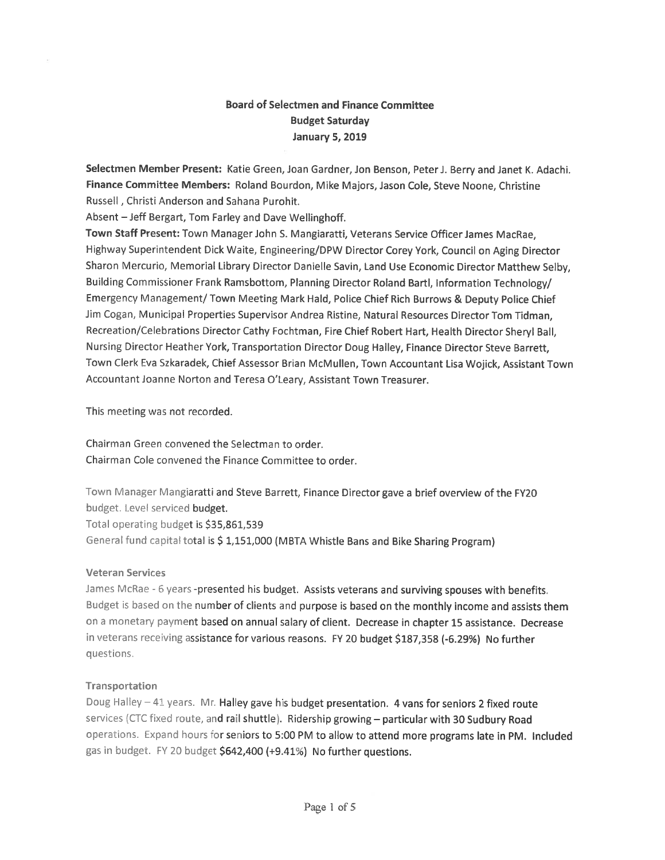# Board of Selectmen and Finance Committee Budget Saturday January 5, 2019

Selectmen Member Present: Katie Green, Joan Gardner, Jon Benson, Peter J. Berry and Janet K. Adachi. Finance Committee Members: Roland Bourdon, Mike Majors, Jason Cole, Steve Noone, Christine Russell, Christi Anderson and Sahana Purohit.

Absent — Jeff Bergart, Tom Farley and Dave Wellinghoff.

Town Staff Present: Town Manager John S. Mangiaratti, Veterans Service Officer James MacRae, Highway Superintendent Dick Waite, Engineering/DPW Director Corey York, Council on Aging Director Sharon Mercurio, Memorial Library Director Danielle Savin, Land Use Economic Director Matthew Selby, Building Commissioner Frank Ramsbottom, Planning Director Roland Bartl, Information Technology/ Emergency Management/ Town Meeting Mark Hald, Police Chief Rich Burrows & Deputy Police Chief Jim Cogan, Municipal Properties Supervisor Andrea Ristine, Natural Resources Director Tom Tidman, Recreation/Celebrations Director Cathy Fochtman, Fire Chief Robert Hart, Health Director Sheryl Ball, Nursing Director Heather York, Transportation Director Doug Halley, Finance Director Steve Barrett, Town Clerk Eva Szkaradek, Chief Assessor Brian McMullen, Town Accountant Lisa Wojick, Assistant Town Accountant Joanne Norton and Teresa O'Leary, Assistant Town Treasurer.

This meeting was not recorded.

Chairman Green convened the Selectman to order. Chairman Cole convened the Finance Committee to order.

Town Manager Mangiaratti and Steve Barrett, Finance Director gave <sup>a</sup> brief overview of the FY20 budget. Level serviced budget. Total operating budget is \$35,861,539 General fund capital total is \$ 1,151,000 (MBTA Whistle Bans and Bike Sharing Program)

#### Veteran Services

James McRae - 6 years -presented his budget. Assists veterans and surviving spouses with benefits. Budget is based on the number of clients and purpose is based on the monthly income and assists them on <sup>a</sup> monetary paymen<sup>t</sup> based on annual salary of client. Decrease in chapter 15 assistance. Decrease in veterans receiving assistance for various reasons. FY 20 budget \$187,358 (-6.29%) No further questions.

#### Transportation

Doug Halley  $-41$  years. Mr. Halley gave his budget presentation. 4 vans for seniors 2 fixed route services (CTC fixed route, and rail shuttle). Ridership growing - particular with 30 Sudbury Road operations. Expand hours for seniors to 5:00 PM to allow to attend more programs late in PM. Included gas in budget. FY 20 budget \$642,400 (+9.41%) No further questions.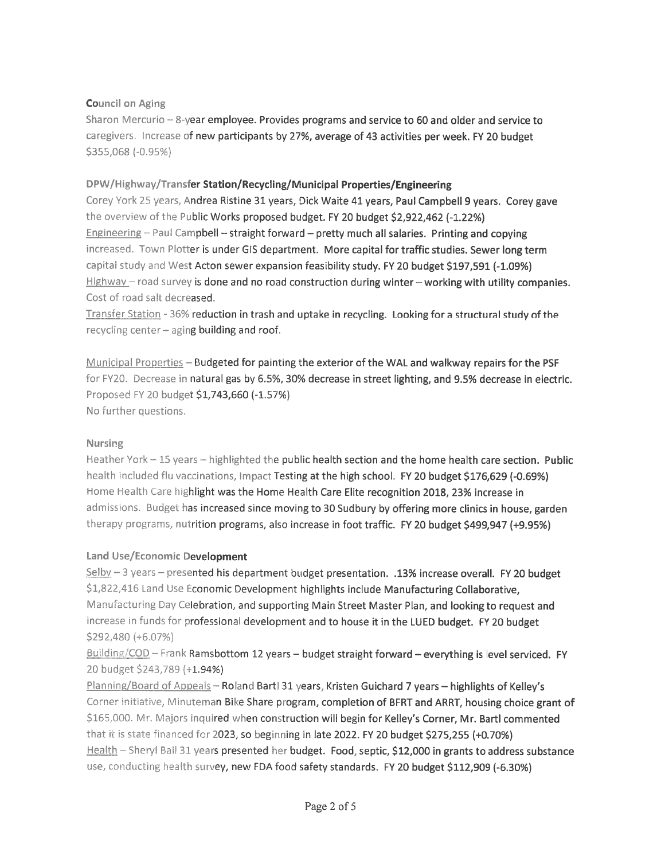#### **Council on Aging**

Sharon Mercurio - 8-year employee. Provides programs and service to 60 and older and service to caregivers. Increase of new participants by 27%, average of 43 activities per week. FY 20 budget \$355,068 (-0.95%)

#### DPW/Highway/Transfer Station/Recycling/Municipal Properties/Engineering

Corey York 25 years, Andrea Ristine 31 years, Dick Waite 41 years, Paul Campbell 9 years. Corey gave the overview of the Public Works proposed budget. FY 20 budget \$2,922,462 (-1.22%) Engineering - Paul Campbell - straight forward - pretty much all salaries. Printing and copying increased. Town Plotter is under GIS department. More capital for traffic studies. Sewer long term capital study and West Acton sewer expansion feasibility study. FY 20 budget \$197,591 (-1.09%)  $Highway$  – road survey is done and no road construction during winter – working with utility companies. Cost of road salt decreased.

Transfer Station - 36% reduction in trash and uptake in recycling. Looking for a structural study of the recycling center  $-$  aging building and roof.

Municipal Properties - Budgeted for painting the exterior of the WAL and walkway repairs for the PSF for FY20. Decrease in natural gas by 6.5%, 30% decrease in street lighting, and 9.5% decrease in electric. Proposed FY 20 budget \$1,743,660 (-1.57%) No further questions.

#### Nursing

Heather York - 15 years - highlighted the public health section and the home health care section. Public health included flu vaccinations, Impact Testing at the high school. FY 20 budget \$176,629 (-0.69%) Home Health Care highlight was the Home Health Care Elite recognition 2018, 23% increase in admissions. Budget has increased since moving to 30 Sudbury by offering more clinics in house, garden therapy programs, nutrition programs, also increase in foot traffic. FY 20 budget \$499,947 (+9.95%)

#### Land Use/Economic Development

Selby - 3 years - presented his department budget presentation. .13% increase overall. FY 20 budget \$1,822,416 Land Use Economic Development highlights include Manufacturing Collaborative, Manufacturing Day Celebration, and supporting Main Street Master Plan, and looking to request and increase in funds for professional development and to house it in the LUED budget. FY 20 budget \$292,480 (+6.07%)

Building/COD - Frank Ramsbottom 12 years - budget straight forward - everything is level serviced. FY 20 budget \$243,789 (+1.94%)

Planning/Board of Appeals - Roland Bartl 31 years, Kristen Guichard 7 years - highlights of Kelley's Corner initiative, Minuteman Bike Share program, completion of BFRT and ARRT, housing choice grant of \$165,000. Mr. Majors inquired when construction will begin for Kelley's Corner, Mr. Bartl commented that it is state financed for 2023, so beginning in late 2022. FY 20 budget \$275,255 (+0.70%) Health - Sheryl Ball 31 years presented her budget. Food, septic, \$12,000 in grants to address substance use, conducting health survey, new FDA food safety standards. FY 20 budget \$112,909 (-6.30%)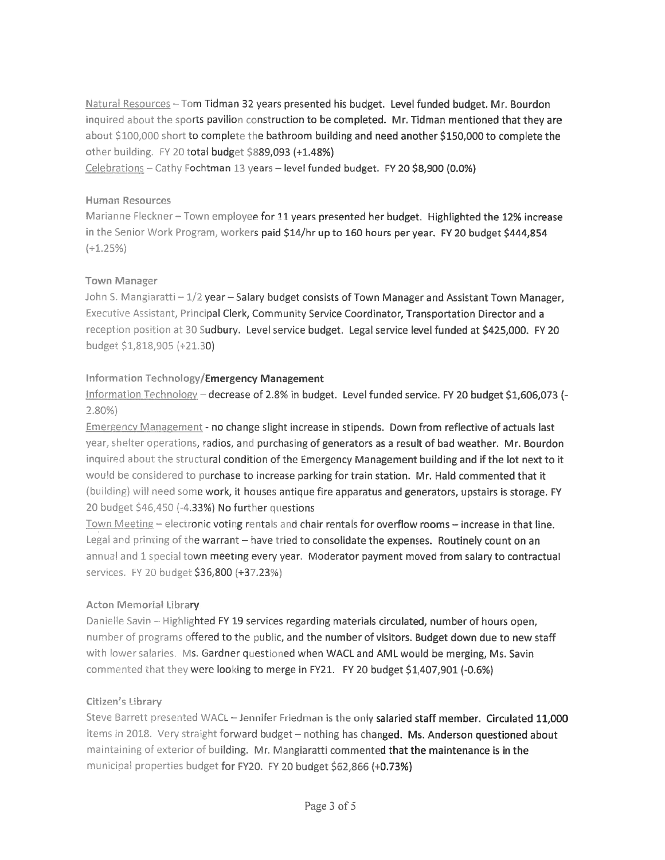Natural Resources - Tom Tidman 32 years presented his budget. Level funded budget. Mr. Bourdon inquired about the sports pavilion construction to be completed. Mr. Tidman mentioned that they are about \$100,000 short to complete the bathroom building and need another \$150,000 to complete the other building. FY 20 total budget \$889,093 (+1.48%)

Celebrations - Cathy Fochtman 13 years - level funded budget. FY 20 \$8,900 (0.0%)

#### **Human Resources**

Marianne Fleckner - Town employee for 11 years presented her budget. Highlighted the 12% increase in the Senior Work Program, workers paid \$14/hr up to 160 hours per year. FY 20 budget \$444,854  $(+1.25%)$ 

#### **Town Manager**

John S. Mangiaratti - 1/2 year - Salary budget consists of Town Manager and Assistant Town Manager, Executive Assistant, Principal Clerk, Community Service Coordinator, Transportation Director and a reception position at 30 Sudbury. Level service budget. Legal service level funded at \$425,000. FY 20 budget \$1,818,905 (+21.30)

#### Information Technology/Emergency Management

Information Technology - decrease of 2.8% in budget. Level funded service. FY 20 budget \$1,606,073 (- $2.80\%$ 

**Emergency Management - no change slight increase in stipends. Down from reflective of actuals last** year, shelter operations, radios, and purchasing of generators as a result of bad weather. Mr. Bourdon inquired about the structural condition of the Emergency Management building and if the lot next to it would be considered to purchase to increase parking for train station. Mr. Hald commented that it (building) will need some work, it houses antique fire apparatus and generators, upstairs is storage. FY 20 budget \$46,450 (-4.33%) No further questions

Town Meeting - electronic voting rentals and chair rentals for overflow rooms - increase in that line. Legal and printing of the warrant - have tried to consolidate the expenses. Routinely count on an annual and 1 special town meeting every year. Moderator payment moved from salary to contractual services. FY 20 budget \$36,800 (+37.23%)

#### Acton Memorial Library

Danielle Savin - Highlighted FY 19 services regarding materials circulated, number of hours open, number of programs offered to the public, and the number of visitors. Budget down due to new staff with lower salaries. Ms. Gardner questioned when WACL and AML would be merging, Ms. Savin commented that they were looking to merge in FY21. FY 20 budget \$1,407,901 (-0.6%)

#### Citizen's Library

Steve Barrett presented WACL - Jennifer Friedman is the only salaried staff member. Circulated 11,000 items in 2018. Very straight forward budget - nothing has changed. Ms. Anderson questioned about maintaining of exterior of building. Mr. Mangiaratti commented that the maintenance is in the municipal properties budget for FY20. FY 20 budget \$62,866 (+0.73%)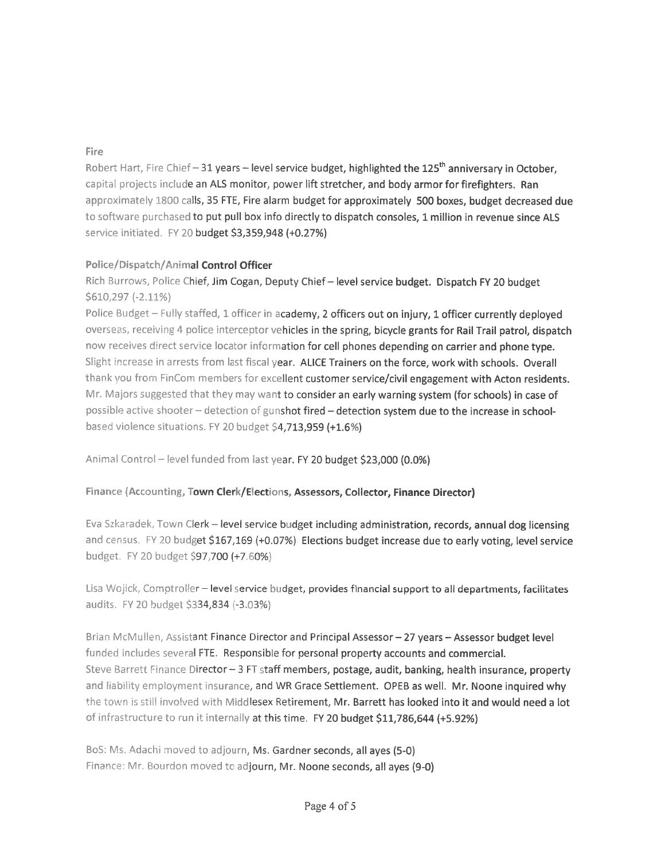### Fire

Robert Hart, Fire Chief - 31 years - level service budget, highlighted the 125<sup>th</sup> anniversary in October, capita! projects include an ALS monitor, power lift stretcher, and body armor for firefighters. Ran approximately 1800 calls, 35 FTE, Fire alarm budget for approximately 500 boxes, budget decreased due to software purchased to put pull box info directly to dispatch consoles, 1 million in revenue since ALS service initiated. FY 20 budget \$3,359,948 (+0.27%)

## Police/Dispatch/Animal Control Officer

Rich Burrows, Police Chief, Jim Cogan, Deputy Chief— level service budget. Dispatch FY <sup>20</sup> budget  $$610,297 (-2.11%)$ 

Police Budget - Fully staffed, 1 officer in academy, 2 officers out on injury, 1 officer currently deployed overseas, receiving 4 police interceptor vehicles in the spring, bicycle grants for Rail Trail patrol, dispatch now receives direct service locator information for cell <sup>p</sup>hones depending on carrier and <sup>p</sup>hone type. Slight increase in arrests from last fiscal year. ALICE Trainers on the force, work with schools. Overall thank you from FinCom members for excellent customer service/civil engagement with Acton residents. Mr. Majors suggested that they may want to consider an early warning system (for schools) in case of possible active shooter - detection of gunshot fired - detection system due to the increase in schoolbased violence situations. FY 20 budget \$4,713,959 (+1.6%)

Animal Control – level funded from last year. FY 20 budget \$23,000 (0.0%)

### Finance (Accounting, Town Clerk/Elections, Assessors, Collector, Finance Director)

Eva Szkaradek, Town Clerk - level service budget including administration, records, annual dog licensing and census. FY 20 budget \$167,169 (+0.07%) Elections budget increase due to early voting, level service budget. FY 20 budget \$97,700 (+7.60%)

Lisa Wojick, Comptroller - level service budget, provides financial support to all departments, facilitates audits. FY 20 budget \$334,834 (-3.03%)

Brian McMullen, Assistant Finance Director and Principal Assessor —27 years — Assessor budget level funded includes several FTE. Responsible for personal property accounts and commercial. Steve Barrett Finance Director - 3 FT staff members, postage, audit, banking, health insurance, property and liability employment insurance, and WR Grace Settlement. OPEB as well. Mr. Noone inquired why the town is still involved with Middlesex Retirement, Mr. Barrett has looked into it and would need a lot of infrastructure to run it internally at this time. FY 20 budget \$11,786,644 (+5.92%)

B0S: Ms. Adachi moved to adjourn, Ms. Gardner seconds, all ayes (5-0) Finance: Mr. Bourdon moved to adjourn, Mr. Noone seconds, all ayes (9-0)